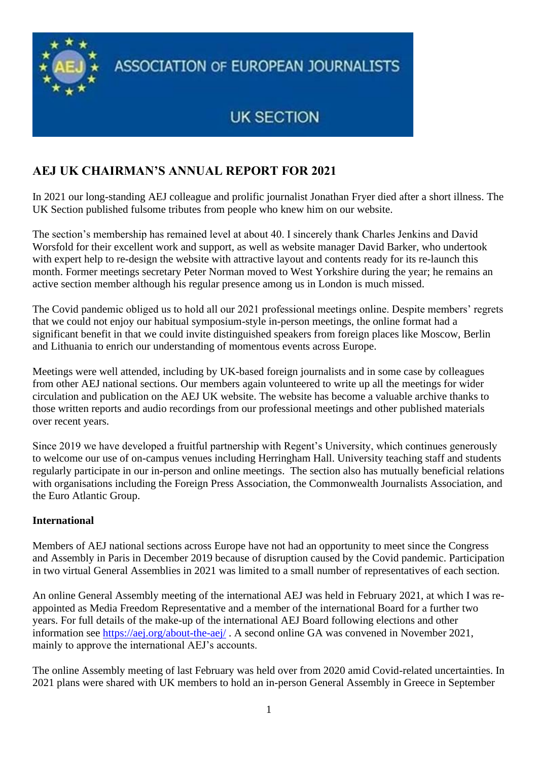

**ASSOCIATION OF EUROPEAN JOURNALISTS** 

## **UK SECTION**

## **AEJ UK CHAIRMAN'S ANNUAL REPORT FOR 2021**

In 2021 our long-standing AEJ colleague and prolific journalist Jonathan Fryer died after a short illness. The UK Section published fulsome tributes from people who knew him on our website.

The section's membership has remained level at about 40. I sincerely thank Charles Jenkins and David Worsfold for their excellent work and support, as well as website manager David Barker, who undertook with expert help to re-design the website with attractive layout and contents ready for its re-launch this month. Former meetings secretary Peter Norman moved to West Yorkshire during the year; he remains an active section member although his regular presence among us in London is much missed.

The Covid pandemic obliged us to hold all our 2021 professional meetings online. Despite members' regrets that we could not enjoy our habitual symposium-style in-person meetings, the online format had a significant benefit in that we could invite distinguished speakers from foreign places like Moscow, Berlin and Lithuania to enrich our understanding of momentous events across Europe.

Meetings were well attended, including by UK-based foreign journalists and in some case by colleagues from other AEJ national sections. Our members again volunteered to write up all the meetings for wider circulation and publication on the AEJ UK website. The website has become a valuable archive thanks to those written reports and audio recordings from our professional meetings and other published materials over recent years.

Since 2019 we have developed a fruitful partnership with Regent's University, which continues generously to welcome our use of on-campus venues including Herringham Hall. University teaching staff and students regularly participate in our in-person and online meetings. The section also has mutually beneficial relations with organisations including the Foreign Press Association, the Commonwealth Journalists Association, and the Euro Atlantic Group.

## **International**

Members of AEJ national sections across Europe have not had an opportunity to meet since the Congress and Assembly in Paris in December 2019 because of disruption caused by the Covid pandemic. Participation in two virtual General Assemblies in 2021 was limited to a small number of representatives of each section.

An online General Assembly meeting of the international AEJ was held in February 2021, at which I was reappointed as Media Freedom Representative and a member of the international Board for a further two years. For full details of the make-up of the international AEJ Board following elections and other information see<https://aej.org/about-the-aej/> . A second online GA was convened in November 2021, mainly to approve the international AEJ's accounts.

The online Assembly meeting of last February was held over from 2020 amid Covid-related uncertainties. In 2021 plans were shared with UK members to hold an in-person General Assembly in Greece in September